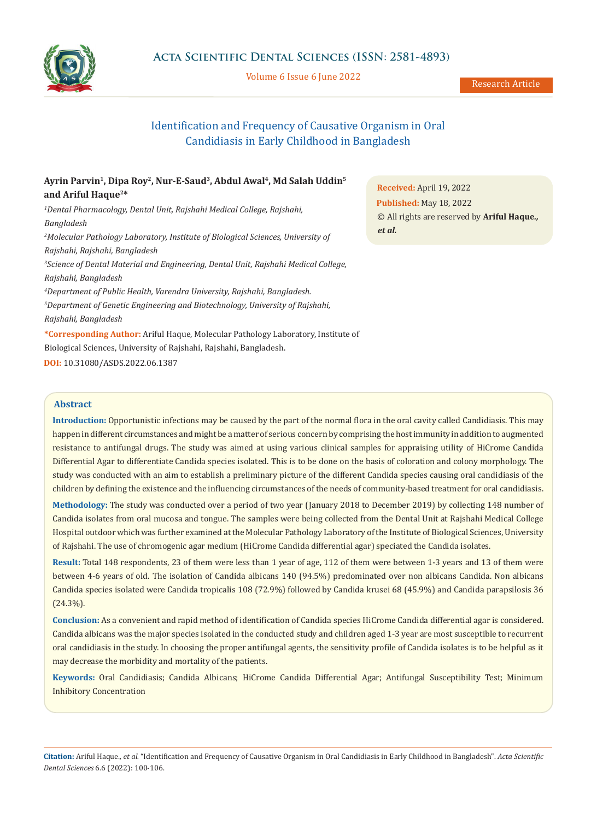

Volume 6 Issue 6 June 2022

# Identification and Frequency of Causative Organism in Oral Candidiasis in Early Childhood in Bangladesh

# **Ayrin Parvin1, Dipa Roy2, Nur-E-Saud3, Abdul Awal4, Md Salah Uddin5 and Ariful Haque2\***

*1 Dental Pharmacology, Dental Unit, Rajshahi Medical College, Rajshahi, Bangladesh 2 Molecular Pathology Laboratory, Institute of Biological Sciences, University of Rajshahi, Rajshahi, Bangladesh*

*3 Science of Dental Material and Engineering, Dental Unit, Rajshahi Medical College, Rajshahi, Bangladesh*

*4 Department of Public Health, Varendra University, Rajshahi, Bangladesh.* 

*5 Department of Genetic Engineering and Biotechnology, University of Rajshahi, Rajshahi, Bangladesh*

**\*Corresponding Author:** Ariful Haque, Molecular Pathology Laboratory, Institute of Biological Sciences, University of Rajshahi, Rajshahi, Bangladesh. **DOI:** [10.31080/ASDS.2022.06.1387](https://actascientific.com/ASDS/pdf/ASDS-06-1387.pdf)

**Received:** April 19, 2022 **Published:** May 18, 2022 © All rights are reserved by **Ariful Haque***., et al.*

# **Abstract**

**Introduction:** Opportunistic infections may be caused by the part of the normal flora in the oral cavity called Candidiasis. This may happen in different circumstances and might be a matter of serious concern by comprising the host immunity in addition to augmented resistance to antifungal drugs. The study was aimed at using various clinical samples for appraising utility of HiCrome Candida Differential Agar to differentiate Candida species isolated. This is to be done on the basis of coloration and colony morphology. The study was conducted with an aim to establish a preliminary picture of the different Candida species causing oral candidiasis of the children by defining the existence and the influencing circumstances of the needs of community-based treatment for oral candidiasis.

**Methodology:** The study was conducted over a period of two year (January 2018 to December 2019) by collecting 148 number of Candida isolates from oral mucosa and tongue. The samples were being collected from the Dental Unit at Rajshahi Medical College Hospital outdoor which was further examined at the Molecular Pathology Laboratory of the Institute of Biological Sciences, University of Rajshahi. The use of chromogenic agar medium (HiCrome Candida differential agar) speciated the Candida isolates.

**Result:** Total 148 respondents, 23 of them were less than 1 year of age, 112 of them were between 1-3 years and 13 of them were between 4-6 years of old. The isolation of Candida albicans 140 (94.5%) predominated over non albicans Candida. Non albicans Candida species isolated were Candida tropicalis 108 (72.9%) followed by Candida krusei 68 (45.9%) and Candida parapsilosis 36 (24.3%).

**Conclusion:** As a convenient and rapid method of identification of Candida species HiCrome Candida differential agar is considered. Candida albicans was the major species isolated in the conducted study and children aged 1-3 year are most susceptible to recurrent oral candidiasis in the study. In choosing the proper antifungal agents, the sensitivity profile of Candida isolates is to be helpful as it may decrease the morbidity and mortality of the patients.

**Keywords:** Oral Candidiasis; Candida Albicans; HiCrome Candida Differential Agar; Antifungal Susceptibility Test; Minimum Inhibitory Concentration

**Citation:** Ariful Haque*., et al.* "Identification and Frequency of Causative Organism in Oral Candidiasis in Early Childhood in Bangladesh". *Acta Scientific Dental Sciences* 6.6 (2022): 100-106.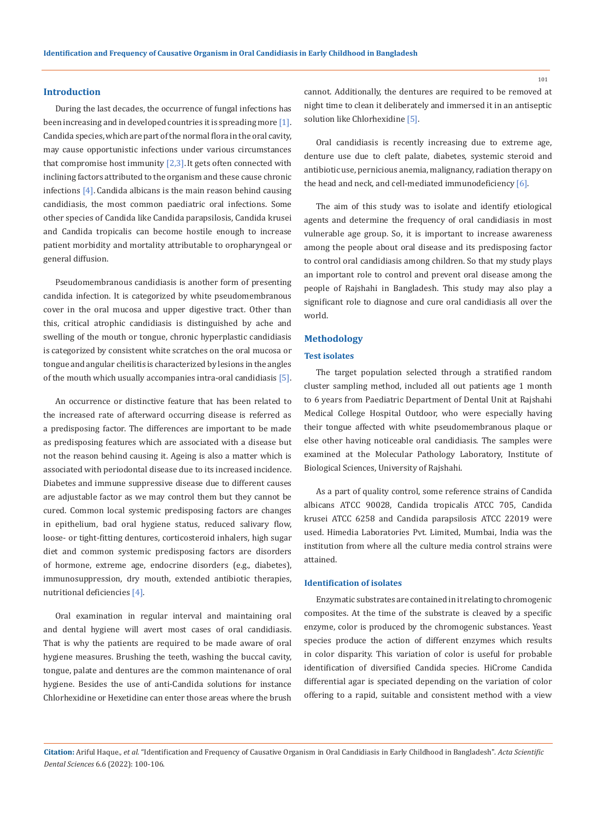#### **Introduction**

During the last decades, the occurrence of fungal infections has been increasing and in developed countries it is spreading more [1]. Candida species, which are part of the normal flora in the oral cavity, may cause opportunistic infections under various circumstances that compromise host immunity  $[2,3]$ . It gets often connected with inclining factors attributed to the organism and these cause chronic infections [4]. Candida albicans is the main reason behind causing candidiasis, the most common paediatric oral infections. Some other species of Candida like Candida parapsilosis, Candida krusei and Candida tropicalis can become hostile enough to increase patient morbidity and mortality attributable to oropharyngeal or general diffusion.

Pseudomembranous candidiasis is another form of presenting candida infection. It is categorized by white pseudomembranous cover in the oral mucosa and upper digestive tract. Other than this, critical atrophic candidiasis is distinguished by ache and swelling of the mouth or tongue, chronic hyperplastic candidiasis is categorized by consistent white scratches on the oral mucosa or tongue and angular cheilitis is characterized by lesions in the angles of the mouth which usually accompanies intra-oral candidiasis [5].

An occurrence or distinctive feature that has been related to the increased rate of afterward occurring disease is referred as a predisposing factor. The differences are important to be made as predisposing features which are associated with a disease but not the reason behind causing it. Ageing is also a matter which is associated with periodontal disease due to its increased incidence. Diabetes and immune suppressive disease due to different causes are adjustable factor as we may control them but they cannot be cured. Common local systemic predisposing factors are changes in epithelium, bad oral hygiene status, reduced salivary flow, loose- or tight-fitting dentures, corticosteroid inhalers, high sugar diet and common systemic predisposing factors are disorders of hormone, extreme age, endocrine disorders (e.g., diabetes), immunosuppression, dry mouth, extended antibiotic therapies, nutritional deficiencies [4].

Oral examination in regular interval and maintaining oral and dental hygiene will avert most cases of oral candidiasis. That is why the patients are required to be made aware of oral hygiene measures. Brushing the teeth, washing the buccal cavity, tongue, palate and dentures are the common maintenance of oral hygiene. Besides the use of anti-Candida solutions for instance Chlorhexidine or Hexetidine can enter those areas where the brush cannot. Additionally, the dentures are required to be removed at night time to clean it deliberately and immersed it in an antiseptic solution like Chlorhexidine [5].

Oral candidiasis is recently increasing due to extreme age, denture use due to cleft palate, diabetes, systemic steroid and antibiotic use, pernicious anemia, malignancy, radiation therapy on the head and neck, and cell-mediated immunodeficiency [6].

The aim of this study was to isolate and identify etiological agents and determine the frequency of oral candidiasis in most vulnerable age group. So, it is important to increase awareness among the people about oral disease and its predisposing factor to control oral candidiasis among children. So that my study plays an important role to control and prevent oral disease among the people of Rajshahi in Bangladesh. This study may also play a significant role to diagnose and cure oral candidiasis all over the world.

### **Methodology**

## **Test isolates**

The target population selected through a stratified random cluster sampling method, included all out patients age 1 month to 6 years from Paediatric Department of Dental Unit at Rajshahi Medical College Hospital Outdoor, who were especially having their tongue affected with white pseudomembranous plaque or else other having noticeable oral candidiasis. The samples were examined at the Molecular Pathology Laboratory, Institute of Biological Sciences, University of Rajshahi.

As a part of quality control, some reference strains of Candida albicans ATCC 90028, Candida tropicalis ATCC 705, Candida krusei ATCC 6258 and Candida parapsilosis ATCC 22019 were used. Himedia Laboratories Pvt. Limited, Mumbai, India was the institution from where all the culture media control strains were attained.

### **Identification of isolates**

Enzymatic substrates are contained in it relating to chromogenic composites. At the time of the substrate is cleaved by a specific enzyme, color is produced by the chromogenic substances. Yeast species produce the action of different enzymes which results in color disparity. This variation of color is useful for probable identification of diversified Candida species. HiCrome Candida differential agar is speciated depending on the variation of color offering to a rapid, suitable and consistent method with a view

**Citation:** Ariful Haque*., et al.* "Identification and Frequency of Causative Organism in Oral Candidiasis in Early Childhood in Bangladesh". *Acta Scientific Dental Sciences* 6.6 (2022): 100-106.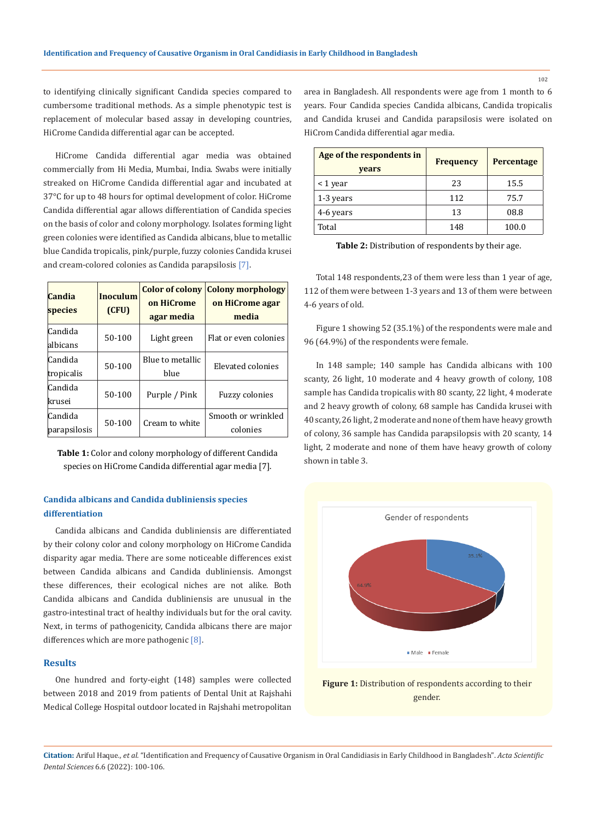to identifying clinically significant Candida species compared to cumbersome traditional methods. As a simple phenotypic test is replacement of molecular based assay in developing countries, HiCrome Candida differential agar can be accepted.

HiCrome Candida differential agar media was obtained commercially from Hi Media, Mumbai, India. Swabs were initially streaked on HiCrome Candida differential agar and incubated at 37°C for up to 48 hours for optimal development of color. HiCrome Candida differential agar allows differentiation of Candida species on the basis of color and colony morphology. Isolates forming light green colonies were identified as Candida albicans, blue to metallic blue Candida tropicalis, pink/purple, fuzzy colonies Candida krusei and cream-colored colonies as Candida parapsilosis [7].

| Candia<br>species       | <b>Inoculum</b><br>(CFU) | <b>Color of colony</b><br>on HiCrome<br>agar media | <b>Colony morphology</b><br>on HiCrome agar<br>media |
|-------------------------|--------------------------|----------------------------------------------------|------------------------------------------------------|
| Candida<br>albicans     | 50-100                   | Light green                                        | Flat or even colonies                                |
| Candida<br>tropicalis   | 50-100                   | Blue to metallic<br>blue                           | Elevated colonies                                    |
| Candida<br>krusei       | 50-100                   | Purple / Pink                                      | <b>Fuzzy colonies</b>                                |
| Candida<br>parapsilosis | $50-100$                 | Cream to white                                     | Smooth or wrinkled<br>colonies                       |

**Table 1:** Color and colony morphology of different Candida species on HiCrome Candida differential agar media [7].

# **Candida albicans and Candida dubliniensis species differentiation**

Candida albicans and Candida dubliniensis are differentiated by their colony color and colony morphology on HiCrome Candida disparity agar media. There are some noticeable differences exist between Candida albicans and Candida dubliniensis. Amongst these differences, their ecological niches are not alike. Both Candida albicans and Candida dubliniensis are unusual in the gastro-intestinal tract of healthy individuals but for the oral cavity. Next, in terms of pathogenicity, Candida albicans there are major differences which are more pathogenic  $[8]$ .

#### **Results**

One hundred and forty-eight (148) samples were collected between 2018 and 2019 from patients of Dental Unit at Rajshahi Medical College Hospital outdoor located in Rajshahi metropolitan area in Bangladesh. All respondents were age from 1 month to 6 years. Four Candida species Candida albicans, Candida tropicalis and Candida krusei and Candida parapsilosis were isolated on HiCrom Candida differential agar media.

| Age of the respondents in<br>years | <b>Frequency</b> | <b>Percentage</b> |
|------------------------------------|------------------|-------------------|
| $<$ 1 year                         | 23               | 15.5              |
| 1-3 years                          | 112              | 75.7              |
| 4-6 years                          | 13               | 08.8              |
| Total                              | 148              | 100.0             |

**Table 2:** Distribution of respondents by their age.

Total 148 respondents,23 of them were less than 1 year of age, 112 of them were between 1-3 years and 13 of them were between 4-6 years of old.

Figure 1 showing 52 (35.1%) of the respondents were male and 96 (64.9%) of the respondents were female.

In 148 sample; 140 sample has Candida albicans with 100 scanty, 26 light, 10 moderate and 4 heavy growth of colony, 108 sample has Candida tropicalis with 80 scanty, 22 light, 4 moderate and 2 heavy growth of colony, 68 sample has Candida krusei with 40 scanty, 26 light, 2 moderate and none of them have heavy growth of colony, 36 sample has Candida parapsilopsis with 20 scanty, 14 light, 2 moderate and none of them have heavy growth of colony shown in table 3.



Figure 1: Distribution of respondents according to their gender.

**Citation:** Ariful Haque*., et al.* "Identification and Frequency of Causative Organism in Oral Candidiasis in Early Childhood in Bangladesh". *Acta Scientific Dental Sciences* 6.6 (2022): 100-106.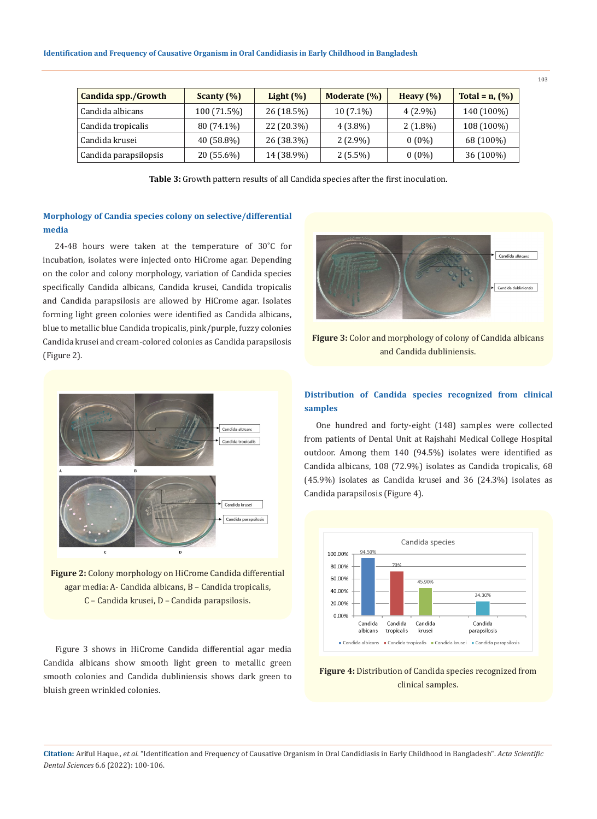| Candida spp./Growth   | Scanty $(\% )$ | Light $(\%)$ | Moderate (%) | Heavy $(\%)$ | Total = $n$ , $(\%)$ |
|-----------------------|----------------|--------------|--------------|--------------|----------------------|
| Candida albicans      | 100 (71.5%)    | 26 (18.5%)   | $10(7.1\%)$  | $4(2.9\%)$   | 140 (100%)           |
| Candida tropicalis    | 80 (74.1%)     | 22 (20.3%)   | $4(3.8\%)$   | $2(1.8\%)$   | 108 (100%)           |
| Candida krusei        | 40 (58.8%)     | 26 (38.3%)   | $2(2.9\%)$   | $0(0\%)$     | 68 (100%)            |
| Candida parapsilopsis | 20 (55.6%)     | 14 (38.9%)   | $2(5.5\%)$   | $0(0\%)$     | 36 (100%)            |

**Table 3:** Growth pattern results of all Candida species after the first inoculation.

# **Morphology of Candia species colony on selective/differential media**

24-48 hours were taken at the temperature of 30˚C for incubation, isolates were injected onto HiCrome agar. Depending on the color and colony morphology, variation of Candida species specifically Candida albicans, Candida krusei, Candida tropicalis and Candida parapsilosis are allowed by HiCrome agar. Isolates forming light green colonies were identified as Candida albicans, blue to metallic blue Candida tropicalis, pink/purple, fuzzy colonies Candida krusei and cream-colored colonies as Candida parapsilosis (Figure 2).



**Figure 2:** Colony morphology on HiCrome Candida differential agar media: A- Candida albicans, B – Candida tropicalis, C – Candida krusei, D – Candida parapsilosis.

Figure 3 shows in HiCrome Candida differential agar media Candida albicans show smooth light green to metallic green smooth colonies and Candida dubliniensis shows dark green to bluish green wrinkled colonies.



**Figure 3:** Color and morphology of colony of Candida albicans and Candida dubliniensis.

# **Distribution of Candida species recognized from clinical samples**

One hundred and forty-eight (148) samples were collected from patients of Dental Unit at Rajshahi Medical College Hospital outdoor. Among them 140 (94.5%) isolates were identified as Candida albicans, 108 (72.9%) isolates as Candida tropicalis, 68 (45.9%) isolates as Candida krusei and 36 (24.3%) isolates as Candida parapsilosis (Figure 4).



**Figure 4:** Distribution of Candida species recognized from clinical samples.

**Citation:** Ariful Haque*., et al.* "Identification and Frequency of Causative Organism in Oral Candidiasis in Early Childhood in Bangladesh". *Acta Scientific Dental Sciences* 6.6 (2022): 100-106.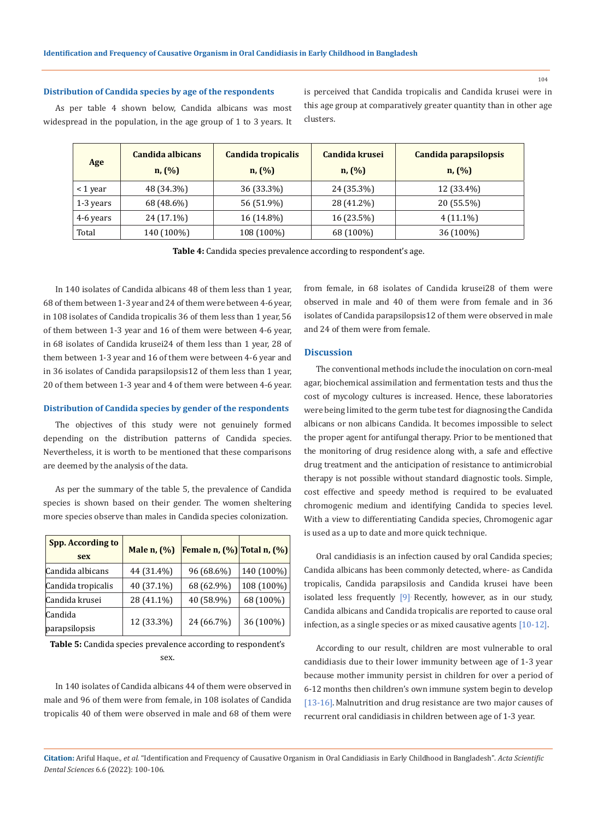### **Distribution of Candida species by age of the respondents**

As per table 4 shown below, Candida albicans was most widespread in the population, in the age group of 1 to 3 years. It is perceived that Candida tropicalis and Candida krusei were in this age group at comparatively greater quantity than in other age clusters.

| Age           | Candida albicans<br>n, (%) | Candida tropicalis<br>n, (%) | Candida krusei<br>n, (%) | Candida parapsilopsis<br>n, (%) |
|---------------|----------------------------|------------------------------|--------------------------|---------------------------------|
| $\leq 1$ year | 48 (34.3%)                 | 36 (33.3%)                   | 24 (35.3%)               | 12 (33.4%)                      |
| 1-3 years     | 68 (48.6%)                 | 56 (51.9%)                   | 28 (41.2%)               | 20 (55.5%)                      |
| 4-6 years     | 24 (17.1%)                 | 16 (14.8%)                   | 16 (23.5%)               | $4(11.1\%)$                     |
| Total         | 140 (100%)                 | 108 (100%)                   | 68 (100%)                | 36 (100%)                       |

**Table 4:** Candida species prevalence according to respondent's age.

In 140 isolates of Candida albicans 48 of them less than 1 year, 68 of them between 1-3 year and 24 of them were between 4-6 year, in 108 isolates of Candida tropicalis 36 of them less than 1 year, 56 of them between 1-3 year and 16 of them were between 4-6 year, in 68 isolates of Candida krusei24 of them less than 1 year, 28 of them between 1-3 year and 16 of them were between 4-6 year and in 36 isolates of Candida parapsilopsis12 of them less than 1 year, 20 of them between 1-3 year and 4 of them were between 4-6 year.

#### **Distribution of Candida species by gender of the respondents**

The objectives of this study were not genuinely formed depending on the distribution patterns of Candida species. Nevertheless, it is worth to be mentioned that these comparisons are deemed by the analysis of the data.

As per the summary of the table 5, the prevalence of Candida species is shown based on their gender. The women sheltering more species observe than males in Candida species colonization.

| <b>Spp. According to</b><br>sex | Male n, (%) | Female n, $(\%)$ Total n, $(\%)$ |            |
|---------------------------------|-------------|----------------------------------|------------|
| Candida albicans                | 44 (31.4%)  | 96 (68.6%)                       | 140 (100%) |
| Candida tropicalis              | 40 (37.1%)  | 68 (62.9%)                       | 108 (100%) |
| Candida krusei                  | 28 (41.1%)  | 40 (58.9%)                       | 68 (100%)  |
| Candida<br>parapsilopsis        | 12 (33.3%)  | 24 (66.7%)                       | 36 (100%)  |

**Table 5:** Candida species prevalence according to respondent's sex.

In 140 isolates of Candida albicans 44 of them were observed in male and 96 of them were from female, in 108 isolates of Candida tropicalis 40 of them were observed in male and 68 of them were from female, in 68 isolates of Candida krusei28 of them were observed in male and 40 of them were from female and in 36 isolates of Candida parapsilopsis12 of them were observed in male and 24 of them were from female.

#### **Discussion**

The conventional methods include the inoculation on corn-meal agar, biochemical assimilation and fermentation tests and thus the cost of mycology cultures is increased. Hence, these laboratories were being limited to the germ tube test for diagnosing the Candida albicans or non albicans Candida. It becomes impossible to select the proper agent for antifungal therapy. Prior to be mentioned that the monitoring of drug residence along with, a safe and effective drug treatment and the anticipation of resistance to antimicrobial therapy is not possible without standard diagnostic tools. Simple, cost effective and speedy method is required to be evaluated chromogenic medium and identifying Candida to species level. With a view to differentiating Candida species, Chromogenic agar is used as a up to date and more quick technique.

Oral candidiasis is an infection caused by oral Candida species; Candida albicans has been commonly detected, where- as Candida tropicalis, Candida parapsilosis and Candida krusei have been isolated less frequently  $[9]$  Recently, however, as in our study, Candida albicans and Candida tropicalis are reported to cause oral infection, as a single species or as mixed causative agents [10-12].

According to our result, children are most vulnerable to oral candidiasis due to their lower immunity between age of 1-3 year because mother immunity persist in children for over a period of 6-12 months then children's own immune system begin to develop [13-16]. Malnutrition and drug resistance are two major causes of recurrent oral candidiasis in children between age of 1-3 year.

**Citation:** Ariful Haque*., et al.* "Identification and Frequency of Causative Organism in Oral Candidiasis in Early Childhood in Bangladesh". *Acta Scientific Dental Sciences* 6.6 (2022): 100-106.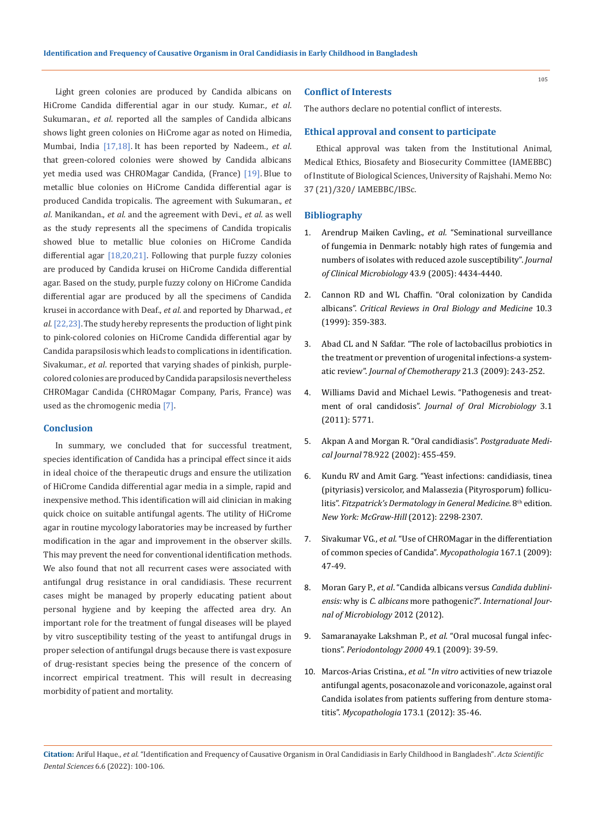Light green colonies are produced by Candida albicans on HiCrome Candida differential agar in our study. Kumar., *et al*. Sukumaran., *et al*. reported all the samples of Candida albicans shows light green colonies on HiCrome agar as noted on Himedia, Mumbai, India [17,18]. It has been reported by Nadeem., *et al*. that green-colored colonies were showed by Candida albicans yet media used was CHROMagar Candida, (France) [19]. Blue to metallic blue colonies on HiCrome Candida differential agar is produced Candida tropicalis. The agreement with Sukumaran., *et al*. Manikandan., *et al*. and the agreement with Devi., *et al*. as well as the study represents all the specimens of Candida tropicalis showed blue to metallic blue colonies on HiCrome Candida differential agar [18,20,21]. Following that purple fuzzy colonies are produced by Candida krusei on HiCrome Candida differential agar. Based on the study, purple fuzzy colony on HiCrome Candida differential agar are produced by all the specimens of Candida krusei in accordance with Deaf., *et al*. and reported by Dharwad., *et al.*[22,23].The study hereby represents the production of light pink to pink-colored colonies on HiCrome Candida differential agar by Candida parapsilosis which leads to complications in identification. Sivakumar., *et al*. reported that varying shades of pinkish, purplecolored colonies are produced by Candida parapsilosis nevertheless CHROMagar Candida (CHROMagar Company, Paris, France) was used as the chromogenic media [7].

### **Conclusion**

In summary, we concluded that for successful treatment, species identification of Candida has a principal effect since it aids in ideal choice of the therapeutic drugs and ensure the utilization of HiCrome Candida differential agar media in a simple, rapid and inexpensive method. This identification will aid clinician in making quick choice on suitable antifungal agents. The utility of HiCrome agar in routine mycology laboratories may be increased by further modification in the agar and improvement in the observer skills. This may prevent the need for conventional identification methods. We also found that not all recurrent cases were associated with antifungal drug resistance in oral candidiasis. These recurrent cases might be managed by properly educating patient about personal hygiene and by keeping the affected area dry. An important role for the treatment of fungal diseases will be played by vitro susceptibility testing of the yeast to antifungal drugs in proper selection of antifungal drugs because there is vast exposure of drug-resistant species being the presence of the concern of incorrect empirical treatment. This will result in decreasing morbidity of patient and mortality.

#### **Conflict of Interests**

The authors declare no potential conflict of interests.

### **Ethical approval and consent to participate**

Ethical approval was taken from the Institutional Animal, Medical Ethics, Biosafety and Biosecurity Committee (IAMEBBC) of Institute of Biological Sciences, University of Rajshahi. Memo No: 37 (21)/320/ IAMEBBC/IBSc.

#### **Bibliography**

- 1. [Arendrup Maiken Cavling.,](https://pubmed.ncbi.nlm.nih.gov/16145088/) *et al.* "Seminational surveillance [of fungemia in Denmark: notably high rates of fungemia and](https://pubmed.ncbi.nlm.nih.gov/16145088/)  [numbers of isolates with reduced azole susceptibility".](https://pubmed.ncbi.nlm.nih.gov/16145088/) *Journal [of Clinical Microbiology](https://pubmed.ncbi.nlm.nih.gov/16145088/)* 43.9 (2005): 4434-4440.
- 2. [Cannon RD and WL Chaffin. "Oral colonization by Candida](https://pubmed.ncbi.nlm.nih.gov/10759414/)  albicans". *[Critical Reviews in Oral Biology and Medicine](https://pubmed.ncbi.nlm.nih.gov/10759414/)* 10.3 [\(1999\): 359-383.](https://pubmed.ncbi.nlm.nih.gov/10759414/)
- 3. [Abad CL and N Safdar. "The role of lactobacillus probiotics in](https://pubmed.ncbi.nlm.nih.gov/19567343/)  [the treatment or prevention of urogenital infections-a system](https://pubmed.ncbi.nlm.nih.gov/19567343/)atic review". *[Journal of Chemotherapy](https://pubmed.ncbi.nlm.nih.gov/19567343/)* 21.3 (2009): 243-252.
- 4. [Williams David and Michael Lewis. "Pathogenesis and treat](https://www.ncbi.nlm.nih.gov/pmc/articles/PMC3087208/)ment of oral candidosis". *[Journal of Oral Microbiology](https://www.ncbi.nlm.nih.gov/pmc/articles/PMC3087208/)* 3.1 [\(2011\): 5771.](https://www.ncbi.nlm.nih.gov/pmc/articles/PMC3087208/)
- 5. [Akpan A and Morgan R. "Oral candidiasis".](https://pubmed.ncbi.nlm.nih.gov/12185216/) *Postgraduate Medical Journal* [78.922 \(2002\): 455-459.](https://pubmed.ncbi.nlm.nih.gov/12185216/)
- 6. [Kundu RV and Amit Garg. "Yeast infections: candidiasis, tinea](https://accessmedicine.mhmedical.com/content.aspx?bookID=392§ionID=41138917&jumpsectionID=41164092&CAClickthru=52567)  [\(pityriasis\) versicolor, and Malassezia \(Pityrosporum\) follicu-](https://accessmedicine.mhmedical.com/content.aspx?bookID=392§ionID=41138917&jumpsectionID=41164092&CAClickthru=52567)litis". [Fitzpatrick's Dermatology in General Medicine.](https://accessmedicine.mhmedical.com/content.aspx?bookID=392§ionID=41138917&jumpsectionID=41164092&CAClickthru=52567) 8<sup>th</sup> edition. *[New York: McGraw-Hill](https://accessmedicine.mhmedical.com/content.aspx?bookID=392§ionID=41138917&jumpsectionID=41164092&CAClickthru=52567)* (2012): 2298-2307.
- 7. Sivakumar VG., *et al.* ["Use of CHROMagar in the differentiation](https://pubmed.ncbi.nlm.nih.gov/18716895/)  [of common species of Candida".](https://pubmed.ncbi.nlm.nih.gov/18716895/) *Mycopathologia* 167.1 (2009): [47-49.](https://pubmed.ncbi.nlm.nih.gov/18716895/)
- 8. Moran Gary P., *et al*[. "Candida albicans versus](https://www.hindawi.com/journals/ijmicro/2012/205921/) *Candida dubliniensis:* why is *C. albicans* more pathogenic?". *[International Jour](https://www.hindawi.com/journals/ijmicro/2012/205921/)[nal of Microbiology](https://www.hindawi.com/journals/ijmicro/2012/205921/)* 2012 (2012).
- 9. [Samaranayake Lakshman P.,](https://pubmed.ncbi.nlm.nih.gov/19152525/) *et al*. "Oral mucosal fungal infections". *[Periodontology 2000](https://pubmed.ncbi.nlm.nih.gov/19152525/)* 49.1 (2009): 39-59.
- 10. Marcos-Arias Cristina., *et al.* "*In vitro* [activities of new triazole](https://pubmed.ncbi.nlm.nih.gov/21842426/)  [antifungal agents, posaconazole and voriconazole, against oral](https://pubmed.ncbi.nlm.nih.gov/21842426/)  [Candida isolates from patients suffering from denture stoma](https://pubmed.ncbi.nlm.nih.gov/21842426/)titis". *Mycopathologia* [173.1 \(2012\): 35-46.](https://pubmed.ncbi.nlm.nih.gov/21842426/)

**Citation:** Ariful Haque*., et al.* "Identification and Frequency of Causative Organism in Oral Candidiasis in Early Childhood in Bangladesh". *Acta Scientific Dental Sciences* 6.6 (2022): 100-106.